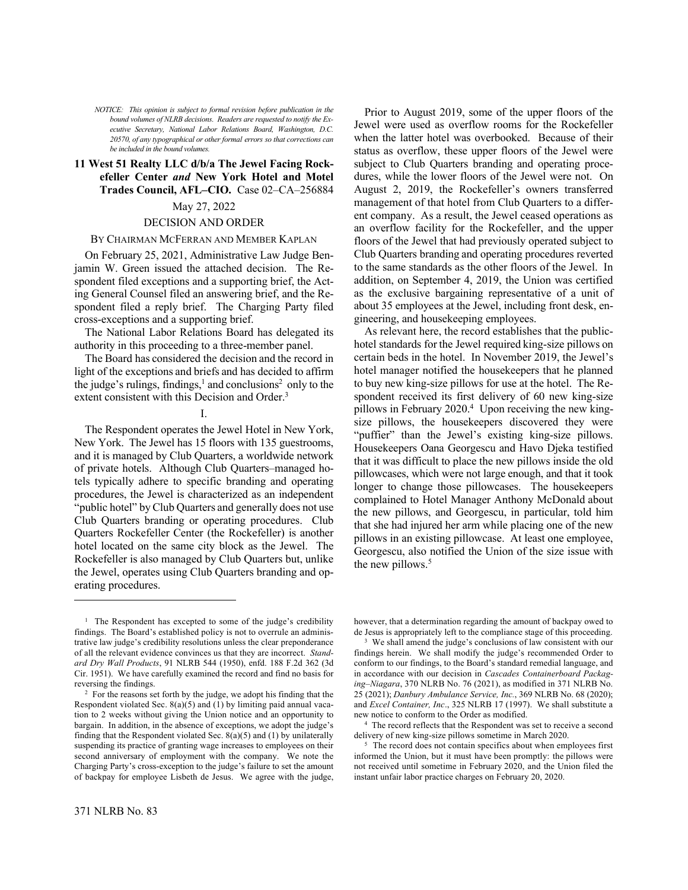*NOTICE: This opinion is subject to formal revision before publication in the bound volumes of NLRB decisions. Readers are requested to notify the Executive Secretary, National Labor Relations Board, Washington, D.C. 20570, of any typographical or other formal errors so that corrections can be included in the bound volumes.*

# **11 West 51 Realty LLC d/b/a The Jewel Facing Rockefeller Center** *and* **New York Hotel and Motel Trades Council, AFL–CIO.** Case 02–CA–256884

## May 27, 2022

## DECISION AND ORDER

## BY CHAIRMAN MCFERRAN AND MEMBER KAPLAN

On February 25, 2021, Administrative Law Judge Benjamin W. Green issued the attached decision. The Respondent filed exceptions and a supporting brief, the Acting General Counsel filed an answering brief, and the Respondent filed a reply brief. The Charging Party filed cross-exceptions and a supporting brief.

The National Labor Relations Board has delegated its authority in this proceeding to a three-member panel.

The Board has considered the decision and the record in light of the exceptions and briefs and has decided to affirm the judge's rulings, findings, $<sup>1</sup>$  and conclusions<sup>2</sup> only to the</sup> extent consistent with this Decision and Order.<sup>3</sup>

I.

The Respondent operates the Jewel Hotel in New York, New York. The Jewel has 15 floors with 135 guestrooms, and it is managed by Club Quarters, a worldwide network of private hotels. Although Club Quarters–managed hotels typically adhere to specific branding and operating procedures, the Jewel is characterized as an independent "public hotel" by Club Quarters and generally does not use Club Quarters branding or operating procedures. Club Quarters Rockefeller Center (the Rockefeller) is another hotel located on the same city block as the Jewel. The Rockefeller is also managed by Club Quarters but, unlike the Jewel, operates using Club Quarters branding and operating procedures.

Prior to August 2019, some of the upper floors of the Jewel were used as overflow rooms for the Rockefeller when the latter hotel was overbooked. Because of their status as overflow, these upper floors of the Jewel were subject to Club Quarters branding and operating procedures, while the lower floors of the Jewel were not. On August 2, 2019, the Rockefeller's owners transferred management of that hotel from Club Quarters to a different company. As a result, the Jewel ceased operations as an overflow facility for the Rockefeller, and the upper floors of the Jewel that had previously operated subject to Club Quarters branding and operating procedures reverted to the same standards as the other floors of the Jewel. In addition, on September 4, 2019, the Union was certified as the exclusive bargaining representative of a unit of about 35 employees at the Jewel, including front desk, engineering, and housekeeping employees.

As relevant here, the record establishes that the publichotel standards for the Jewel required king-size pillows on certain beds in the hotel. In November 2019, the Jewel's hotel manager notified the housekeepers that he planned to buy new king-size pillows for use at the hotel. The Respondent received its first delivery of 60 new king-size pillows in February 2020.<sup>4</sup> Upon receiving the new kingsize pillows, the housekeepers discovered they were "puffier" than the Jewel's existing king-size pillows. Housekeepers Oana Georgescu and Havo Djeka testified that it was difficult to place the new pillows inside the old pillowcases, which were not large enough, and that it took longer to change those pillowcases. The housekeepers complained to Hotel Manager Anthony McDonald about the new pillows, and Georgescu, in particular, told him that she had injured her arm while placing one of the new pillows in an existing pillowcase. At least one employee, Georgescu, also notified the Union of the size issue with the new pillows.<sup>5</sup>

however, that a determination regarding the amount of backpay owed to de Jesus is appropriately left to the compliance stage of this proceeding.

<sup>&</sup>lt;sup>1</sup> The Respondent has excepted to some of the judge's credibility findings. The Board's established policy is not to overrule an administrative law judge's credibility resolutions unless the clear preponderance of all the relevant evidence convinces us that they are incorrect. *Standard Dry Wall Products*, 91 NLRB 544 (1950), enfd. 188 F.2d 362 (3d Cir. 1951). We have carefully examined the record and find no basis for reversing the findings.

<sup>2</sup> For the reasons set forth by the judge, we adopt his finding that the Respondent violated Sec.  $8(a)(5)$  and  $(1)$  by limiting paid annual vacation to 2 weeks without giving the Union notice and an opportunity to bargain. In addition, in the absence of exceptions, we adopt the judge's finding that the Respondent violated Sec.  $8(a)(5)$  and (1) by unilaterally suspending its practice of granting wage increases to employees on their second anniversary of employment with the company. We note the Charging Party's cross-exception to the judge's failure to set the amount of backpay for employee Lisbeth de Jesus. We agree with the judge,

<sup>&</sup>lt;sup>3</sup> We shall amend the judge's conclusions of law consistent with our findings herein. We shall modify the judge's recommended Order to conform to our findings, to the Board's standard remedial language, and in accordance with our decision in *Cascades Containerboard Packaging–Niagara*, 370 NLRB No. 76 (2021), as modified in 371 NLRB No. 25 (2021); *Danbury Ambulance Service, Inc.*, 369 NLRB No. 68 (2020); and *Excel Container, Inc*., 325 NLRB 17 (1997). We shall substitute a new notice to conform to the Order as modified.

<sup>4</sup> The record reflects that the Respondent was set to receive a second delivery of new king-size pillows sometime in March 2020.

The record does not contain specifics about when employees first informed the Union, but it must have been promptly: the pillows were not received until sometime in February 2020, and the Union filed the instant unfair labor practice charges on February 20, 2020.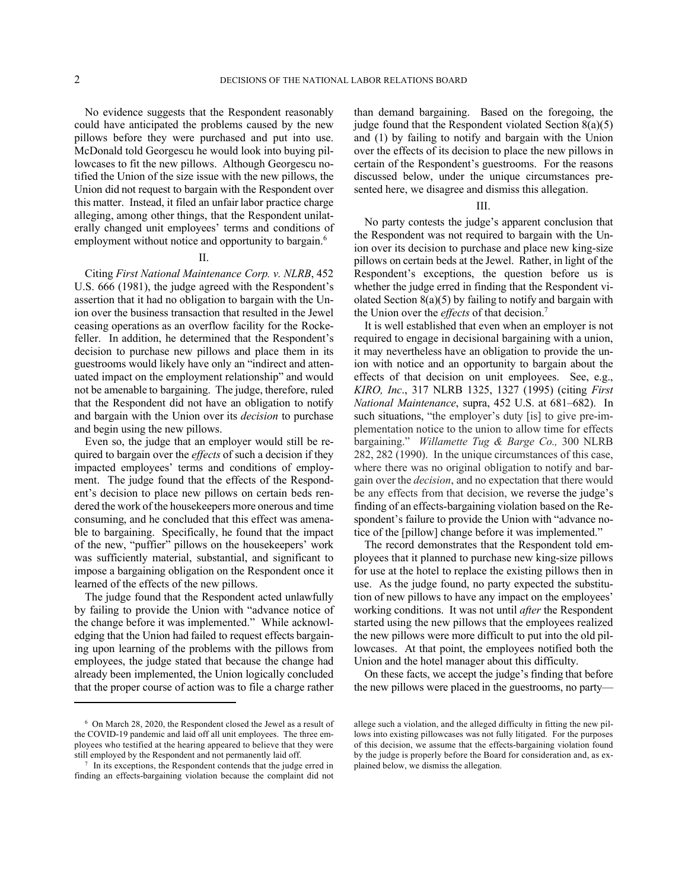No evidence suggests that the Respondent reasonably could have anticipated the problems caused by the new pillows before they were purchased and put into use. McDonald told Georgescu he would look into buying pillowcases to fit the new pillows. Although Georgescu notified the Union of the size issue with the new pillows, the Union did not request to bargain with the Respondent over this matter. Instead, it filed an unfair labor practice charge alleging, among other things, that the Respondent unilaterally changed unit employees' terms and conditions of employment without notice and opportunity to bargain.<sup>6</sup>

# II.

Citing *First National Maintenance Corp. v. NLRB*, 452 U.S. 666 (1981), the judge agreed with the Respondent's assertion that it had no obligation to bargain with the Union over the business transaction that resulted in the Jewel ceasing operations as an overflow facility for the Rockefeller. In addition, he determined that the Respondent's decision to purchase new pillows and place them in its guestrooms would likely have only an "indirect and attenuated impact on the employment relationship" and would not be amenable to bargaining. The judge, therefore, ruled that the Respondent did not have an obligation to notify and bargain with the Union over its *decision* to purchase and begin using the new pillows.

Even so, the judge that an employer would still be required to bargain over the *effects* of such a decision if they impacted employees' terms and conditions of employment. The judge found that the effects of the Respondent's decision to place new pillows on certain beds rendered the work of the housekeepers more onerous and time consuming, and he concluded that this effect was amenable to bargaining. Specifically, he found that the impact of the new, "puffier" pillows on the housekeepers' work was sufficiently material, substantial, and significant to impose a bargaining obligation on the Respondent once it learned of the effects of the new pillows.

The judge found that the Respondent acted unlawfully by failing to provide the Union with "advance notice of the change before it was implemented." While acknowledging that the Union had failed to request effects bargaining upon learning of the problems with the pillows from employees, the judge stated that because the change had already been implemented, the Union logically concluded that the proper course of action was to file a charge rather

than demand bargaining. Based on the foregoing, the judge found that the Respondent violated Section  $8(a)(5)$ and (1) by failing to notify and bargain with the Union over the effects of its decision to place the new pillows in certain of the Respondent's guestrooms. For the reasons discussed below, under the unique circumstances presented here, we disagree and dismiss this allegation.

# III.

No party contests the judge's apparent conclusion that the Respondent was not required to bargain with the Union over its decision to purchase and place new king-size pillows on certain beds at the Jewel. Rather, in light of the Respondent's exceptions, the question before us is whether the judge erred in finding that the Respondent violated Section  $8(a)(5)$  by failing to notify and bargain with the Union over the *effects* of that decision.<sup>7</sup>

It is well established that even when an employer is not required to engage in decisional bargaining with a union, it may nevertheless have an obligation to provide the union with notice and an opportunity to bargain about the effects of that decision on unit employees. See, e.g., *KIRO, Inc*., 317 NLRB 1325, 1327 (1995) (citing *First National Maintenance*, supra, 452 U.S. at 681–682). In such situations, "the employer's duty [is] to give pre-implementation notice to the union to allow time for effects bargaining." *Willamette Tug & Barge Co.,* 300 NLRB 282, 282 (1990). In the unique circumstances of this case, where there was no original obligation to notify and bargain over the *decision*, and no expectation that there would be any effects from that decision, we reverse the judge's finding of an effects-bargaining violation based on the Respondent's failure to provide the Union with "advance notice of the [pillow] change before it was implemented."

The record demonstrates that the Respondent told employees that it planned to purchase new king-size pillows for use at the hotel to replace the existing pillows then in use. As the judge found, no party expected the substitution of new pillows to have any impact on the employees' working conditions. It was not until *after* the Respondent started using the new pillows that the employees realized the new pillows were more difficult to put into the old pillowcases. At that point, the employees notified both the Union and the hotel manager about this difficulty.

On these facts, we accept the judge's finding that before the new pillows were placed in the guestrooms, no party—

<sup>6</sup> On March 28, 2020, the Respondent closed the Jewel as a result of the COVID-19 pandemic and laid off all unit employees. The three employees who testified at the hearing appeared to believe that they were still employed by the Respondent and not permanently laid off.

<sup>7</sup> In its exceptions, the Respondent contends that the judge erred in finding an effects-bargaining violation because the complaint did not

allege such a violation, and the alleged difficulty in fitting the new pillows into existing pillowcases was not fully litigated. For the purposes of this decision, we assume that the effects-bargaining violation found by the judge is properly before the Board for consideration and, as explained below, we dismiss the allegation.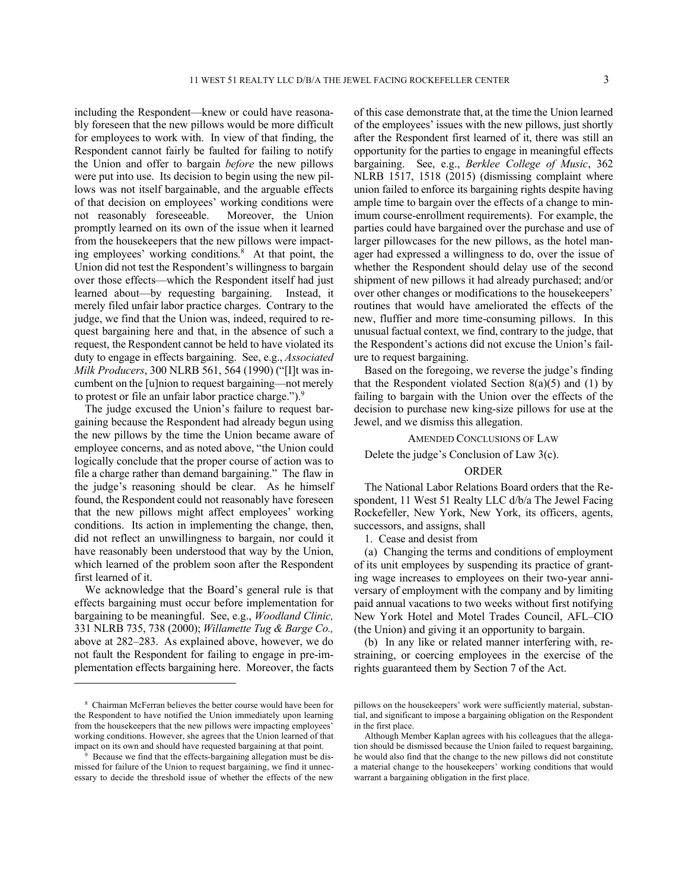including the Respondent—knew or could have reasonably foreseen that the new pillows would be more difficult for employees to work with. In view of that finding, the Respondent cannot fairly be faulted for failing to notify the Union and offer to bargain *before* the new pillows were put into use. Its decision to begin using the new pillows was not itself bargainable, and the arguable effects of that decision on employees' working conditions were not reasonably foreseeable. Moreover, the Union promptly learned on its own of the issue when it learned from the housekeepers that the new pillows were impacting employees' working conditions. <sup>8</sup> At that point, the Union did not test the Respondent's willingness to bargain over those effects—which the Respondent itself had just learned about—by requesting bargaining. Instead, it merely filed unfair labor practice charges. Contrary to the judge, we find that the Union was, indeed, required to request bargaining here and that, in the absence of such a request, the Respondent cannot be held to have violated its duty to engage in effects bargaining. See, e.g., *Associated Milk Producers*, 300 NLRB 561, 564 (1990) ("[I]t was incumbent on the [u]nion to request bargaining—not merely to protest or file an unfair labor practice charge."). 9

The judge excused the Union's failure to request bargaining because the Respondent had already begun using the new pillows by the time the Union became aware of employee concerns, and as noted above, "the Union could logically conclude that the proper course of action was to file a charge rather than demand bargaining." The flaw in the judge's reasoning should be clear. As he himself found, the Respondent could not reasonably have foreseen that the new pillows might affect employees' working conditions. Its action in implementing the change, then, did not reflect an unwillingness to bargain, nor could it have reasonably been understood that way by the Union, which learned of the problem soon after the Respondent first learned of it.

We acknowledge that the Board's general rule is that effects bargaining must occur before implementation for bargaining to be meaningful. See, e.g., *Woodland Clinic,*  331 NLRB 735, 738 (2000); *Willamette Tug & Barge Co.,*  above at 282–283. As explained above, however, we do not fault the Respondent for failing to engage in pre-implementation effects bargaining here. Moreover, the facts of this case demonstrate that, at the time the Union learned of the employees' issues with the new pillows, just shortly after the Respondent first learned of it, there was still an opportunity for the parties to engage in meaningful effects bargaining. See, e.g., *Berklee College of Music*, 362 NLRB 1517, 1518 (2015) (dismissing complaint where union failed to enforce its bargaining rights despite having ample time to bargain over the effects of a change to minimum course-enrollment requirements). For example, the parties could have bargained over the purchase and use of larger pillowcases for the new pillows, as the hotel manager had expressed a willingness to do, over the issue of whether the Respondent should delay use of the second shipment of new pillows it had already purchased; and/or over other changes or modifications to the housekeepers' routines that would have ameliorated the effects of the new, fluffier and more time-consuming pillows. In this unusual factual context, we find, contrary to the judge, that the Respondent's actions did not excuse the Union's failure to request bargaining.

Based on the foregoing, we reverse the judge's finding that the Respondent violated Section  $8(a)(5)$  and (1) by failing to bargain with the Union over the effects of the decision to purchase new king-size pillows for use at the Jewel, and we dismiss this allegation.

AMENDED CONCLUSIONS OF LAW

Delete the judge's Conclusion of Law 3(c).

# ORDER

The National Labor Relations Board orders that the Respondent, 11 West 51 Realty LLC d/b/a The Jewel Facing Rockefeller, New York, New York, its officers, agents, successors, and assigns, shall

1. Cease and desist from

(a) Changing the terms and conditions of employment of its unit employees by suspending its practice of granting wage increases to employees on their two-year anniversary of employment with the company and by limiting paid annual vacations to two weeks without first notifying New York Hotel and Motel Trades Council, AFL–CIO (the Union) and giving it an opportunity to bargain.

(b) In any like or related manner interfering with, restraining, or coercing employees in the exercise of the rights guaranteed them by Section 7 of the Act.

<sup>8</sup> Chairman McFerran believes the better course would have been for the Respondent to have notified the Union immediately upon learning from the housekeepers that the new pillows were impacting employees' working conditions. However, she agrees that the Union learned of that impact on its own and should have requested bargaining at that point.

Because we find that the effects-bargaining allegation must be dismissed for failure of the Union to request bargaining, we find it unnecessary to decide the threshold issue of whether the effects of the new

pillows on the housekeepers' work were sufficiently material, substantial, and significant to impose a bargaining obligation on the Respondent in the first place.

Although Member Kaplan agrees with his colleagues that the allegation should be dismissed because the Union failed to request bargaining, he would also find that the change to the new pillows did not constitute a material change to the housekeepers' working conditions that would warrant a bargaining obligation in the first place.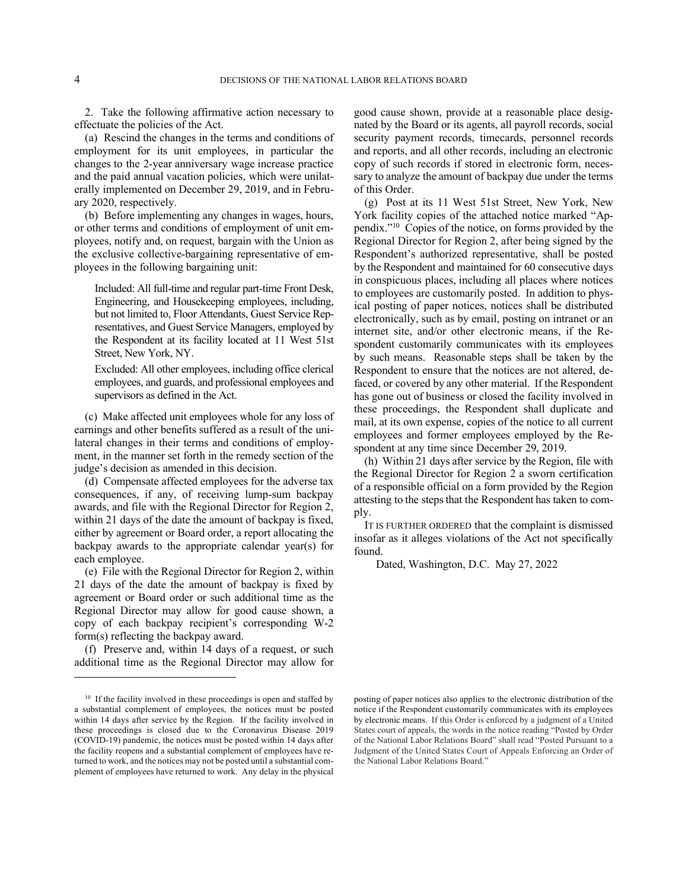2. Take the following affirmative action necessary to effectuate the policies of the Act.

(a) Rescind the changes in the terms and conditions of employment for its unit employees, in particular the changes to the 2-year anniversary wage increase practice and the paid annual vacation policies, which were unilaterally implemented on December 29, 2019, and in February 2020, respectively.

(b) Before implementing any changes in wages, hours, or other terms and conditions of employment of unit employees, notify and, on request, bargain with the Union as the exclusive collective-bargaining representative of employees in the following bargaining unit:

Included: All full-time and regular part-time Front Desk, Engineering, and Housekeeping employees, including, but not limited to, Floor Attendants, Guest Service Representatives, and Guest Service Managers, employed by the Respondent at its facility located at 11 West 51st Street, New York, NY.

Excluded: All other employees, including office clerical employees, and guards, and professional employees and supervisors as defined in the Act.

(c) Make affected unit employees whole for any loss of earnings and other benefits suffered as a result of the unilateral changes in their terms and conditions of employment, in the manner set forth in the remedy section of the judge's decision as amended in this decision.

(d) Compensate affected employees for the adverse tax consequences, if any, of receiving lump-sum backpay awards, and file with the Regional Director for Region 2, within 21 days of the date the amount of backpay is fixed, either by agreement or Board order, a report allocating the backpay awards to the appropriate calendar year(s) for each employee.

(e) File with the Regional Director for Region 2, within 21 days of the date the amount of backpay is fixed by agreement or Board order or such additional time as the Regional Director may allow for good cause shown, a copy of each backpay recipient's corresponding W-2 form(s) reflecting the backpay award.

(f) Preserve and, within 14 days of a request, or such additional time as the Regional Director may allow for

good cause shown, provide at a reasonable place designated by the Board or its agents, all payroll records, social security payment records, timecards, personnel records and reports, and all other records, including an electronic copy of such records if stored in electronic form, necessary to analyze the amount of backpay due under the terms of this Order.

(g) Post at its 11 West 51st Street, New York, New York facility copies of the attached notice marked "Appendix." 10 Copies of the notice, on forms provided by the Regional Director for Region 2, after being signed by the Respondent's authorized representative, shall be posted by the Respondent and maintained for 60 consecutive days in conspicuous places, including all places where notices to employees are customarily posted. In addition to physical posting of paper notices, notices shall be distributed electronically, such as by email, posting on intranet or an internet site, and/or other electronic means, if the Respondent customarily communicates with its employees by such means. Reasonable steps shall be taken by the Respondent to ensure that the notices are not altered, defaced, or covered by any other material. If the Respondent has gone out of business or closed the facility involved in these proceedings, the Respondent shall duplicate and mail, at its own expense, copies of the notice to all current employees and former employees employed by the Respondent at any time since December 29, 2019.

(h) Within 21 days after service by the Region, file with the Regional Director for Region 2 a sworn certification of a responsible official on a form provided by the Region attesting to the steps that the Respondent has taken to comply.

IT IS FURTHER ORDERED that the complaint is dismissed insofar as it alleges violations of the Act not specifically found.

Dated, Washington, D.C. May 27, 2022

<sup>&</sup>lt;sup>10</sup> If the facility involved in these proceedings is open and staffed by a substantial complement of employees, the notices must be posted within 14 days after service by the Region. If the facility involved in these proceedings is closed due to the Coronavirus Disease 2019 (COVID-19) pandemic, the notices must be posted within 14 days after the facility reopens and a substantial complement of employees have returned to work, and the notices may not be posted until a substantial complement of employees have returned to work. Any delay in the physical

posting of paper notices also applies to the electronic distribution of the notice if the Respondent customarily communicates with its employees by electronic means. If this Order is enforced by a judgment of a United States court of appeals, the words in the notice reading "Posted by Order of the National Labor Relations Board" shall read "Posted Pursuant to a Judgment of the United States Court of Appeals Enforcing an Order of the National Labor Relations Board."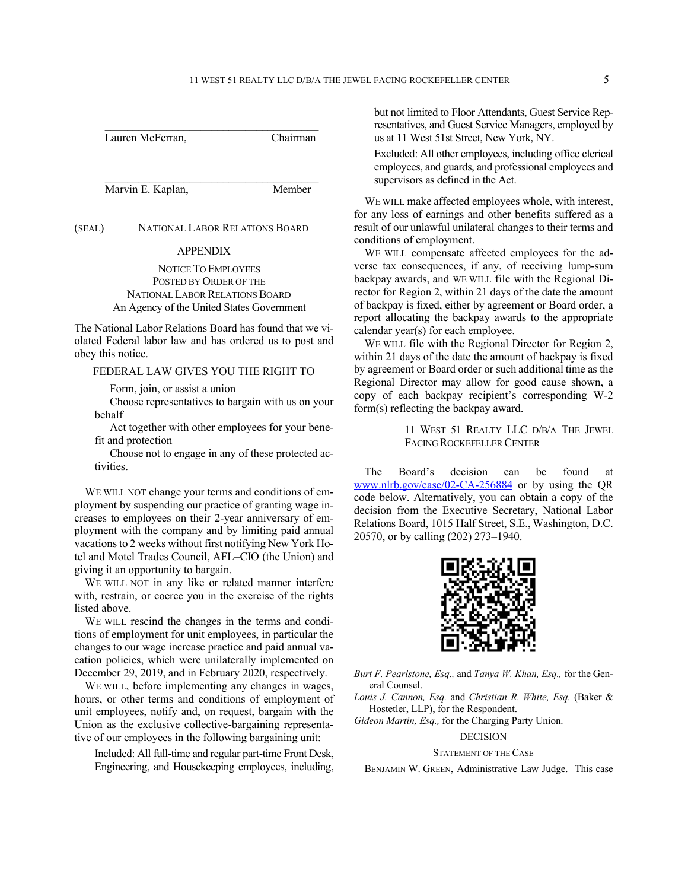Lauren McFerran, Chairman

Marvin E. Kaplan, Member

(SEAL) NATIONAL LABOR RELATIONS BOARD

#### APPENDIX

NOTICE TO EMPLOYEES POSTED BY ORDER OF THE NATIONAL LABOR RELATIONS BOARD An Agency of the United States Government

The National Labor Relations Board has found that we violated Federal labor law and has ordered us to post and obey this notice.

FEDERAL LAW GIVES YOU THE RIGHT TO

Form, join, or assist a union

Choose representatives to bargain with us on your behalf

Act together with other employees for your benefit and protection

Choose not to engage in any of these protected activities.

WE WILL NOT change your terms and conditions of employment by suspending our practice of granting wage increases to employees on their 2-year anniversary of employment with the company and by limiting paid annual vacations to 2 weeks without first notifying New York Hotel and Motel Trades Council, AFL–CIO (the Union) and giving it an opportunity to bargain.

WE WILL NOT in any like or related manner interfere with, restrain, or coerce you in the exercise of the rights listed above.

WE WILL rescind the changes in the terms and conditions of employment for unit employees, in particular the changes to our wage increase practice and paid annual vacation policies, which were unilaterally implemented on December 29, 2019, and in February 2020, respectively.

WE WILL, before implementing any changes in wages, hours, or other terms and conditions of employment of unit employees, notify and, on request, bargain with the Union as the exclusive collective-bargaining representative of our employees in the following bargaining unit:

Included: All full-time and regular part-time Front Desk, Engineering, and Housekeeping employees, including, but not limited to Floor Attendants, Guest Service Representatives, and Guest Service Managers, employed by us at 11 West 51st Street, New York, NY.

Excluded: All other employees, including office clerical employees, and guards, and professional employees and supervisors as defined in the Act.

WE WILL make affected employees whole, with interest, for any loss of earnings and other benefits suffered as a result of our unlawful unilateral changes to their terms and conditions of employment.

WE WILL compensate affected employees for the adverse tax consequences, if any, of receiving lump-sum backpay awards, and WE WILL file with the Regional Director for Region 2, within 21 days of the date the amount of backpay is fixed, either by agreement or Board order, a report allocating the backpay awards to the appropriate calendar year(s) for each employee.

WE WILL file with the Regional Director for Region 2, within 21 days of the date the amount of backpay is fixed by agreement or Board order or such additional time as the Regional Director may allow for good cause shown, a copy of each backpay recipient's corresponding W-2 form(s) reflecting the backpay award.

> 11 WEST 51 REALTY LLC D/B/A THE JEWEL FACING ROCKEFELLER CENTER

The Board's decision can be found at www.nlrb.gov/case/02-CA-256884 or by using the QR code below. Alternatively, you can obtain a copy of the decision from the Executive Secretary, National Labor Relations Board, 1015 Half Street, S.E., Washington, D.C. 20570, or by calling (202) 273–1940.



*Burt F. Pearlstone, Esq.,* and *Tanya W. Khan, Esq.,* for the General Counsel.

*Louis J. Cannon, Esq.* and *Christian R. White, Esq.* (Baker & Hostetler, LLP), for the Respondent.

*Gideon Martin, Esq.,* for the Charging Party Union.

#### DECISION

### STATEMENT OF THE CASE

BENJAMIN W. GREEN, Administrative Law Judge. This case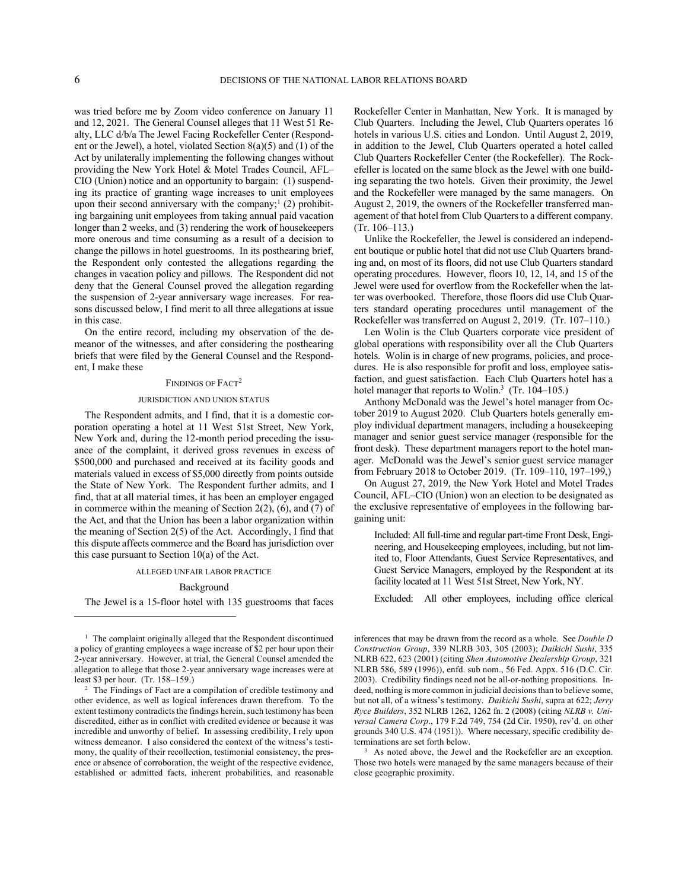was tried before me by Zoom video conference on January 11 and 12, 2021. The General Counsel alleges that 11 West 51 Realty, LLC d/b/a The Jewel Facing Rockefeller Center (Respondent or the Jewel), a hotel, violated Section 8(a)(5) and (1) of the Act by unilaterally implementing the following changes without providing the New York Hotel & Motel Trades Council, AFL– CIO (Union) notice and an opportunity to bargain: (1) suspending its practice of granting wage increases to unit employees upon their second anniversary with the company;<sup>1</sup> (2) prohibiting bargaining unit employees from taking annual paid vacation longer than 2 weeks, and (3) rendering the work of housekeepers more onerous and time consuming as a result of a decision to change the pillows in hotel guestrooms. In its posthearing brief, the Respondent only contested the allegations regarding the changes in vacation policy and pillows. The Respondent did not deny that the General Counsel proved the allegation regarding the suspension of 2-year anniversary wage increases. For reasons discussed below, I find merit to all three allegations at issue in this case.

On the entire record, including my observation of the demeanor of the witnesses, and after considering the posthearing briefs that were filed by the General Counsel and the Respondent, I make these

### FINDINGS OF FACT<sup>2</sup>

#### JURISDICTION AND UNION STATUS

The Respondent admits, and I find, that it is a domestic corporation operating a hotel at 11 West 51st Street, New York, New York and, during the 12-month period preceding the issuance of the complaint, it derived gross revenues in excess of \$500,000 and purchased and received at its facility goods and materials valued in excess of \$5,000 directly from points outside the State of New York. The Respondent further admits, and I find, that at all material times, it has been an employer engaged in commerce within the meaning of Section 2(2), (6), and (7) of the Act, and that the Union has been a labor organization within the meaning of Section 2(5) of the Act. Accordingly, I find that this dispute affects commerce and the Board has jurisdiction over this case pursuant to Section  $10(a)$  of the Act.

#### ALLEGED UNFAIR LABOR PRACTICE

### Background

The Jewel is a 15-floor hotel with 135 guestrooms that faces

Rockefeller Center in Manhattan, New York. It is managed by Club Quarters. Including the Jewel, Club Quarters operates 16 hotels in various U.S. cities and London. Until August 2, 2019, in addition to the Jewel, Club Quarters operated a hotel called Club Quarters Rockefeller Center (the Rockefeller). The Rockefeller is located on the same block as the Jewel with one building separating the two hotels. Given their proximity, the Jewel and the Rockefeller were managed by the same managers. On August 2, 2019, the owners of the Rockefeller transferred management of that hotel from Club Quarters to a different company. (Tr. 106–113.)

Unlike the Rockefeller, the Jewel is considered an independent boutique or public hotel that did not use Club Quarters branding and, on most of its floors, did not use Club Quarters standard operating procedures. However, floors 10, 12, 14, and 15 of the Jewel were used for overflow from the Rockefeller when the latter was overbooked. Therefore, those floors did use Club Quarters standard operating procedures until management of the Rockefeller was transferred on August 2, 2019. (Tr. 107–110.)

Len Wolin is the Club Quarters corporate vice president of global operations with responsibility over all the Club Quarters hotels. Wolin is in charge of new programs, policies, and procedures. He is also responsible for profit and loss, employee satisfaction, and guest satisfaction. Each Club Quarters hotel has a hotel manager that reports to Wolin.<sup>3</sup> (Tr. 104–105.)

Anthony McDonald was the Jewel's hotel manager from October 2019 to August 2020. Club Quarters hotels generally employ individual department managers, including a housekeeping manager and senior guest service manager (responsible for the front desk). These department managers report to the hotel manager. McDonald was the Jewel's senior guest service manager from February 2018 to October 2019. (Tr. 109–110, 197–199,)

On August 27, 2019, the New York Hotel and Motel Trades Council, AFL–CIO (Union) won an election to be designated as the exclusive representative of employees in the following bargaining unit:

Included: All full-time and regular part-time Front Desk, Engineering, and Housekeeping employees, including, but not limited to, Floor Attendants, Guest Service Representatives, and Guest Service Managers, employed by the Respondent at its facility located at 11 West 51st Street, New York, NY.

Excluded: All other employees, including office clerical

<sup>&</sup>lt;sup>1</sup> The complaint originally alleged that the Respondent discontinued a policy of granting employees a wage increase of \$2 per hour upon their 2-year anniversary. However, at trial, the General Counsel amended the allegation to allege that those 2-year anniversary wage increases were at least \$3 per hour. (Tr. 158–159.)

<sup>&</sup>lt;sup>2</sup> The Findings of Fact are a compilation of credible testimony and other evidence, as well as logical inferences drawn therefrom. To the extent testimony contradicts the findings herein, such testimony has been discredited, either as in conflict with credited evidence or because it was incredible and unworthy of belief. In assessing credibility, I rely upon witness demeanor. I also considered the context of the witness's testimony, the quality of their recollection, testimonial consistency, the presence or absence of corroboration, the weight of the respective evidence, established or admitted facts, inherent probabilities, and reasonable

inferences that may be drawn from the record as a whole. See *Double D Construction Group*, 339 NLRB 303, 305 (2003); *Daikichi Sushi*, 335 NLRB 622, 623 (2001) (citing *Shen Automotive Dealership Group*, 321 NLRB 586, 589 (1996)), enfd. sub nom., 56 Fed. Appx. 516 (D.C. Cir. 2003). Credibility findings need not be all-or-nothing propositions. Indeed, nothing is more common in judicial decisions than to believe some, but not all, of a witness's testimony. *Daikichi Sushi*, supra at 622; *Jerry Ryce Builders*, 352 NLRB 1262, 1262 fn. 2 (2008) (citing *NLRB v. Universal Camera Corp*., 179 F.2d 749, 754 (2d Cir. 1950), rev'd. on other grounds 340 U.S. 474 (1951)). Where necessary, specific credibility determinations are set forth below.

<sup>&</sup>lt;sup>3</sup> As noted above, the Jewel and the Rockefeller are an exception. Those two hotels were managed by the same managers because of their close geographic proximity.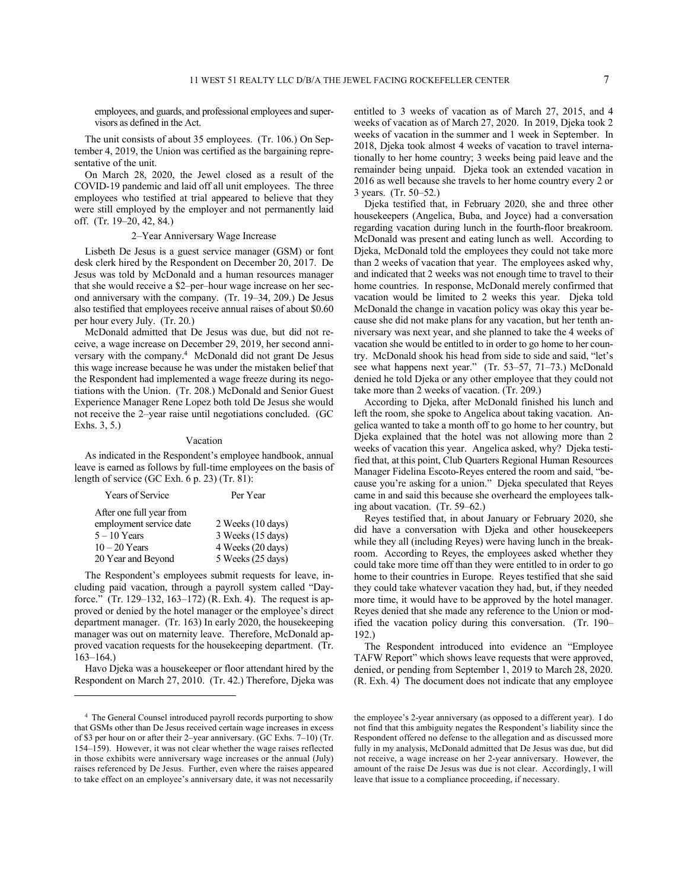employees, and guards, and professional employees and supervisors as defined in the Act.

The unit consists of about 35 employees. (Tr. 106.) On September 4, 2019, the Union was certified as the bargaining representative of the unit.

On March 28, 2020, the Jewel closed as a result of the COVID-19 pandemic and laid off all unit employees. The three employees who testified at trial appeared to believe that they were still employed by the employer and not permanently laid off. (Tr. 19–20, 42, 84.)

### 2–Year Anniversary Wage Increase

Lisbeth De Jesus is a guest service manager (GSM) or font desk clerk hired by the Respondent on December 20, 2017. De Jesus was told by McDonald and a human resources manager that she would receive a \$2–per–hour wage increase on her second anniversary with the company. (Tr. 19–34, 209.) De Jesus also testified that employees receive annual raises of about \$0.60 per hour every July. (Tr. 20.)

McDonald admitted that De Jesus was due, but did not receive, a wage increase on December 29, 2019, her second anniversary with the company.<sup>4</sup> McDonald did not grant De Jesus this wage increase because he was under the mistaken belief that the Respondent had implemented a wage freeze during its negotiations with the Union. (Tr. 208.) McDonald and Senior Guest Experience Manager Rene Lopez both told De Jesus she would not receive the 2–year raise until negotiations concluded. (GC Exhs. 3, 5.)

#### Vacation

As indicated in the Respondent's employee handbook, annual leave is earned as follows by full-time employees on the basis of length of service (GC Exh. 6 p. 23) (Tr. 81):

| Years of Service         | Per Year          |  |  |
|--------------------------|-------------------|--|--|
| After one full year from |                   |  |  |
| employment service date  | 2 Weeks (10 days) |  |  |
| $5 - 10$ Years           | 3 Weeks (15 days) |  |  |
| $10-20$ Years            | 4 Weeks (20 days) |  |  |
| 20 Year and Beyond       | 5 Weeks (25 days) |  |  |

The Respondent's employees submit requests for leave, including paid vacation, through a payroll system called "Dayforce." (Tr. 129–132, 163–172) (R. Exh. 4). The request is approved or denied by the hotel manager or the employee's direct department manager. (Tr. 163) In early 2020, the housekeeping manager was out on maternity leave. Therefore, McDonald approved vacation requests for the housekeeping department. (Tr. 163–164.)

Havo Djeka was a housekeeper or floor attendant hired by the Respondent on March 27, 2010. (Tr. 42.) Therefore, Djeka was entitled to 3 weeks of vacation as of March 27, 2015, and 4 weeks of vacation as of March 27, 2020. In 2019, Djeka took 2 weeks of vacation in the summer and 1 week in September. In 2018, Djeka took almost 4 weeks of vacation to travel internationally to her home country; 3 weeks being paid leave and the remainder being unpaid. Djeka took an extended vacation in 2016 as well because she travels to her home country every 2 or 3 years. (Tr. 50–52.)

Djeka testified that, in February 2020, she and three other housekeepers (Angelica, Buba, and Joyce) had a conversation regarding vacation during lunch in the fourth-floor breakroom. McDonald was present and eating lunch as well. According to Djeka, McDonald told the employees they could not take more than 2 weeks of vacation that year. The employees asked why, and indicated that 2 weeks was not enough time to travel to their home countries. In response, McDonald merely confirmed that vacation would be limited to 2 weeks this year. Djeka told McDonald the change in vacation policy was okay this year because she did not make plans for any vacation, but her tenth anniversary was next year, and she planned to take the 4 weeks of vacation she would be entitled to in order to go home to her country. McDonald shook his head from side to side and said, "let's see what happens next year." (Tr. 53–57, 71–73.) McDonald denied he told Djeka or any other employee that they could not take more than 2 weeks of vacation. (Tr. 209.)

According to Djeka, after McDonald finished his lunch and left the room, she spoke to Angelica about taking vacation. Angelica wanted to take a month off to go home to her country, but Djeka explained that the hotel was not allowing more than 2 weeks of vacation this year. Angelica asked, why? Djeka testified that, at this point, Club Quarters Regional Human Resources Manager Fidelina Escoto-Reyes entered the room and said, "because you're asking for a union." Djeka speculated that Reyes came in and said this because she overheard the employees talking about vacation. (Tr. 59–62.)

Reyes testified that, in about January or February 2020, she did have a conversation with Djeka and other housekeepers while they all (including Reyes) were having lunch in the breakroom. According to Reyes, the employees asked whether they could take more time off than they were entitled to in order to go home to their countries in Europe. Reyes testified that she said they could take whatever vacation they had, but, if they needed more time, it would have to be approved by the hotel manager. Reyes denied that she made any reference to the Union or modified the vacation policy during this conversation. (Tr. 190– 192.)

The Respondent introduced into evidence an "Employee TAFW Report" which shows leave requests that were approved, denied, or pending from September 1, 2019 to March 28, 2020. (R. Exh. 4) The document does not indicate that any employee

<sup>4</sup> The General Counsel introduced payroll records purporting to show that GSMs other than De Jesus received certain wage increases in excess of \$3 per hour on or after their 2–year anniversary. (GC Exhs. 7–10) (Tr. 154–159). However, it was not clear whether the wage raises reflected in those exhibits were anniversary wage increases or the annual (July) raises referenced by De Jesus. Further, even where the raises appeared to take effect on an employee's anniversary date, it was not necessarily

the employee's 2-year anniversary (as opposed to a different year). I do not find that this ambiguity negates the Respondent's liability since the Respondent offered no defense to the allegation and as discussed more fully in my analysis, McDonald admitted that De Jesus was due, but did not receive, a wage increase on her 2-year anniversary. However, the amount of the raise De Jesus was due is not clear. Accordingly, I will leave that issue to a compliance proceeding, if necessary.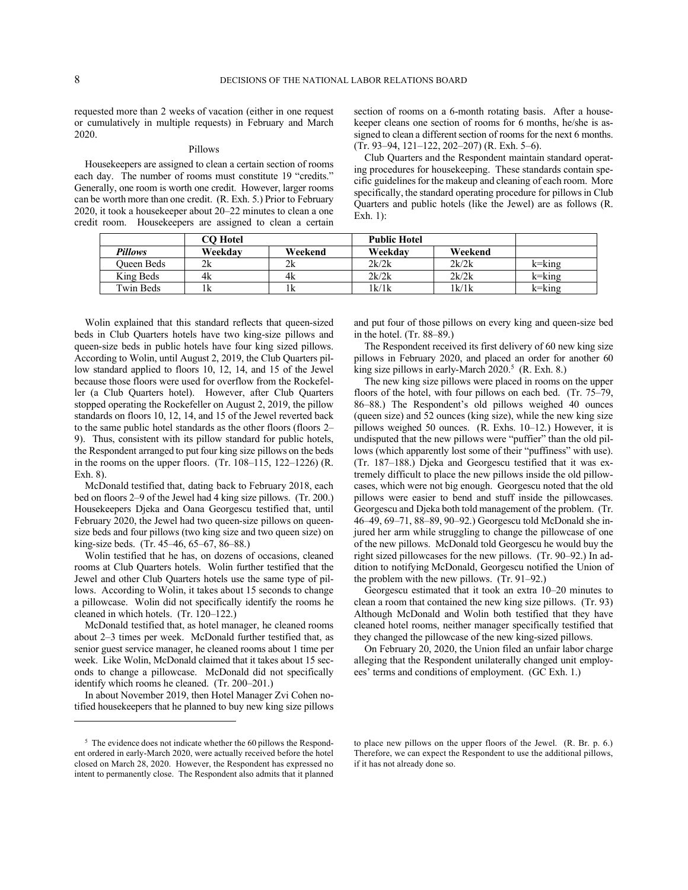requested more than 2 weeks of vacation (either in one request or cumulatively in multiple requests) in February and March 2020.

# Pillows

Housekeepers are assigned to clean a certain section of rooms each day. The number of rooms must constitute 19 "credits." Generally, one room is worth one credit. However, larger rooms can be worth more than one credit. (R. Exh. 5.) Prior to February 2020, it took a housekeeper about 20–22 minutes to clean a one credit room. Housekeepers are assigned to clean a certain section of rooms on a 6-month rotating basis. After a housekeeper cleans one section of rooms for 6 months, he/she is assigned to clean a different section of rooms for the next 6 months. (Tr. 93–94, 121–122, 202–207) (R. Exh. 5–6).

Club Quarters and the Respondent maintain standard operating procedures for housekeeping. These standards contain specific guidelines for the makeup and cleaning of each room. More specifically, the standard operating procedure for pillows in Club Quarters and public hotels (like the Jewel) are as follows (R. Exh. 1):

|            | CO Hotel |         | <b>Public Hotel</b> |         |               |
|------------|----------|---------|---------------------|---------|---------------|
| Pillows    | Weekdav  | Weekend | Weekdav             | Weekend |               |
| Oueen Beds |          |         | 2k/2k               | 2k/2k   | $k =$ $k$ ing |
| King Beds  | 4k       | 4k      | 2k/2k               | 2k/2k   | $k =$ $k$ ing |
| Twin Beds  | ıκ       |         | 1k/1k               | 1k/1k   | $k =$ $k$ ing |

Wolin explained that this standard reflects that queen-sized beds in Club Quarters hotels have two king-size pillows and queen-size beds in public hotels have four king sized pillows. According to Wolin, until August 2, 2019, the Club Quarters pillow standard applied to floors 10, 12, 14, and 15 of the Jewel because those floors were used for overflow from the Rockefeller (a Club Quarters hotel). However, after Club Quarters stopped operating the Rockefeller on August 2, 2019, the pillow standards on floors 10, 12, 14, and 15 of the Jewel reverted back to the same public hotel standards as the other floors (floors 2– 9). Thus, consistent with its pillow standard for public hotels, the Respondent arranged to put four king size pillows on the beds in the rooms on the upper floors. (Tr. 108–115, 122–1226) (R. Exh. 8).

McDonald testified that, dating back to February 2018, each bed on floors 2–9 of the Jewel had 4 king size pillows. (Tr. 200.) Housekeepers Djeka and Oana Georgescu testified that, until February 2020, the Jewel had two queen-size pillows on queensize beds and four pillows (two king size and two queen size) on king-size beds. (Tr. 45–46, 65–67, 86–88.)

Wolin testified that he has, on dozens of occasions, cleaned rooms at Club Quarters hotels. Wolin further testified that the Jewel and other Club Quarters hotels use the same type of pillows. According to Wolin, it takes about 15 seconds to change a pillowcase. Wolin did not specifically identify the rooms he cleaned in which hotels. (Tr. 120–122.)

McDonald testified that, as hotel manager, he cleaned rooms about 2–3 times per week. McDonald further testified that, as senior guest service manager, he cleaned rooms about 1 time per week. Like Wolin, McDonald claimed that it takes about 15 seconds to change a pillowcase. McDonald did not specifically identify which rooms he cleaned. (Tr. 200–201.)

In about November 2019, then Hotel Manager Zvi Cohen notified housekeepers that he planned to buy new king size pillows and put four of those pillows on every king and queen-size bed in the hotel. (Tr. 88–89.)

The Respondent received its first delivery of 60 new king size pillows in February 2020, and placed an order for another 60 king size pillows in early-March 2020.<sup>5</sup> (R. Exh. 8.)

The new king size pillows were placed in rooms on the upper floors of the hotel, with four pillows on each bed. (Tr. 75–79, 86–88.) The Respondent's old pillows weighed 40 ounces (queen size) and 52 ounces (king size), while the new king size pillows weighed 50 ounces. (R. Exhs. 10–12.) However, it is undisputed that the new pillows were "puffier" than the old pillows (which apparently lost some of their "puffiness" with use). (Tr. 187–188.) Djeka and Georgescu testified that it was extremely difficult to place the new pillows inside the old pillowcases, which were not big enough. Georgescu noted that the old pillows were easier to bend and stuff inside the pillowcases. Georgescu and Djeka both told management of the problem. (Tr. 46–49, 69–71, 88–89, 90–92.) Georgescu told McDonald she injured her arm while struggling to change the pillowcase of one of the new pillows. McDonald told Georgescu he would buy the right sized pillowcases for the new pillows. (Tr. 90–92.) In addition to notifying McDonald, Georgescu notified the Union of the problem with the new pillows. (Tr. 91–92.)

Georgescu estimated that it took an extra 10–20 minutes to clean a room that contained the new king size pillows. (Tr. 93) Although McDonald and Wolin both testified that they have cleaned hotel rooms, neither manager specifically testified that they changed the pillowcase of the new king-sized pillows.

On February 20, 2020, the Union filed an unfair labor charge alleging that the Respondent unilaterally changed unit employees' terms and conditions of employment. (GC Exh. 1.)

<sup>&</sup>lt;sup>5</sup> The evidence does not indicate whether the 60 pillows the Respondent ordered in early-March 2020, were actually received before the hotel closed on March 28, 2020. However, the Respondent has expressed no intent to permanently close. The Respondent also admits that it planned

to place new pillows on the upper floors of the Jewel. (R. Br. p. 6.) Therefore, we can expect the Respondent to use the additional pillows, if it has not already done so.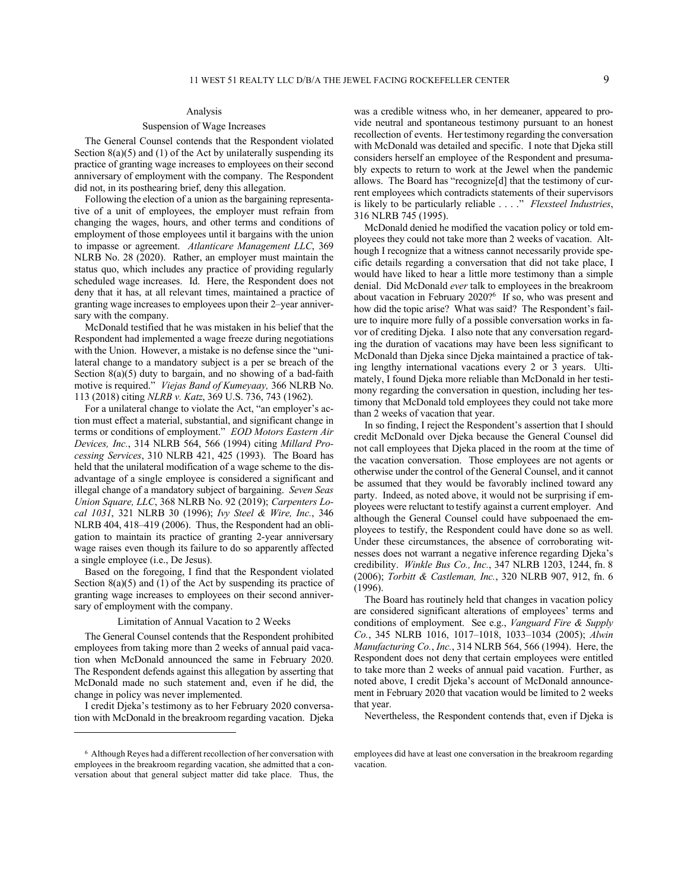### Analysis

#### Suspension of Wage Increases

The General Counsel contends that the Respondent violated Section  $8(a)(5)$  and (1) of the Act by unilaterally suspending its practice of granting wage increases to employees on their second anniversary of employment with the company. The Respondent did not, in its posthearing brief, deny this allegation.

Following the election of a union as the bargaining representative of a unit of employees, the employer must refrain from changing the wages, hours, and other terms and conditions of employment of those employees until it bargains with the union to impasse or agreement. *Atlanticare Management LLC*, 369 NLRB No. 28 (2020). Rather, an employer must maintain the status quo, which includes any practice of providing regularly scheduled wage increases. Id. Here, the Respondent does not deny that it has, at all relevant times, maintained a practice of granting wage increases to employees upon their 2–year anniversary with the company.

McDonald testified that he was mistaken in his belief that the Respondent had implemented a wage freeze during negotiations with the Union. However, a mistake is no defense since the "unilateral change to a mandatory subject is a per se breach of the Section  $8(a)(5)$  duty to bargain, and no showing of a bad-faith motive is required." *Viejas Band of Kumeyaay,* 366 NLRB No. 113 (2018) citing *NLRB v. Katz*, 369 U.S. 736, 743 (1962).

For a unilateral change to violate the Act, "an employer's action must effect a material, substantial, and significant change in terms or conditions of employment." *EOD Motors Eastern Air Devices, Inc.*, 314 NLRB 564, 566 (1994) citing *Millard Processing Services*, 310 NLRB 421, 425 (1993). The Board has held that the unilateral modification of a wage scheme to the disadvantage of a single employee is considered a significant and illegal change of a mandatory subject of bargaining. *Seven Seas Union Square, LLC*, 368 NLRB No. 92 (2019); *Carpenters Local 1031*, 321 NLRB 30 (1996); *Ivy Steel & Wire, Inc.*, 346 NLRB 404, 418–419 (2006). Thus, the Respondent had an obligation to maintain its practice of granting 2-year anniversary wage raises even though its failure to do so apparently affected a single employee (i.e., De Jesus).

Based on the foregoing, I find that the Respondent violated Section  $8(a)(5)$  and  $(1)$  of the Act by suspending its practice of granting wage increases to employees on their second anniversary of employment with the company.

#### Limitation of Annual Vacation to 2 Weeks

The General Counsel contends that the Respondent prohibited employees from taking more than 2 weeks of annual paid vacation when McDonald announced the same in February 2020. The Respondent defends against this allegation by asserting that McDonald made no such statement and, even if he did, the change in policy was never implemented.

I credit Djeka's testimony as to her February 2020 conversation with McDonald in the breakroom regarding vacation. Djeka was a credible witness who, in her demeaner, appeared to provide neutral and spontaneous testimony pursuant to an honest recollection of events. Her testimony regarding the conversation with McDonald was detailed and specific. I note that Djeka still considers herself an employee of the Respondent and presumably expects to return to work at the Jewel when the pandemic allows. The Board has "recognize[d] that the testimony of current employees which contradicts statements of their supervisors is likely to be particularly reliable . . . ." *Flexsteel Industries*, 316 NLRB 745 (1995).

McDonald denied he modified the vacation policy or told employees they could not take more than 2 weeks of vacation. Although I recognize that a witness cannot necessarily provide specific details regarding a conversation that did not take place, I would have liked to hear a little more testimony than a simple denial. Did McDonald *ever* talk to employees in the breakroom about vacation in February 2020?<sup>6</sup> If so, who was present and how did the topic arise? What was said? The Respondent's failure to inquire more fully of a possible conversation works in favor of crediting Djeka. I also note that any conversation regarding the duration of vacations may have been less significant to McDonald than Djeka since Djeka maintained a practice of taking lengthy international vacations every 2 or 3 years. Ultimately, I found Djeka more reliable than McDonald in her testimony regarding the conversation in question, including her testimony that McDonald told employees they could not take more than 2 weeks of vacation that year.

In so finding, I reject the Respondent's assertion that I should credit McDonald over Djeka because the General Counsel did not call employees that Djeka placed in the room at the time of the vacation conversation. Those employees are not agents or otherwise under the control of the General Counsel, and it cannot be assumed that they would be favorably inclined toward any party. Indeed, as noted above, it would not be surprising if employees were reluctant to testify against a current employer. And although the General Counsel could have subpoenaed the employees to testify, the Respondent could have done so as well. Under these circumstances, the absence of corroborating witnesses does not warrant a negative inference regarding Djeka's credibility. *Winkle Bus Co., Inc.*, 347 NLRB 1203, 1244, fn. 8 (2006); *Torbitt & Castleman, Inc.*, 320 NLRB 907, 912, fn. 6 (1996).

The Board has routinely held that changes in vacation policy are considered significant alterations of employees' terms and conditions of employment. See e.g., *Vanguard Fire & Supply Co.*, 345 NLRB 1016, 1017–1018, 1033–1034 (2005); *Alwin Manufacturing Co.*, *Inc.*, 314 NLRB 564, 566 (1994). Here, the Respondent does not deny that certain employees were entitled to take more than 2 weeks of annual paid vacation. Further, as noted above, I credit Djeka's account of McDonald announcement in February 2020 that vacation would be limited to 2 weeks that year.

Nevertheless, the Respondent contends that, even if Djeka is

<sup>6</sup> Although Reyes had a different recollection of her conversation with employees in the breakroom regarding vacation, she admitted that a conversation about that general subject matter did take place. Thus, the

employees did have at least one conversation in the breakroom regarding vacation.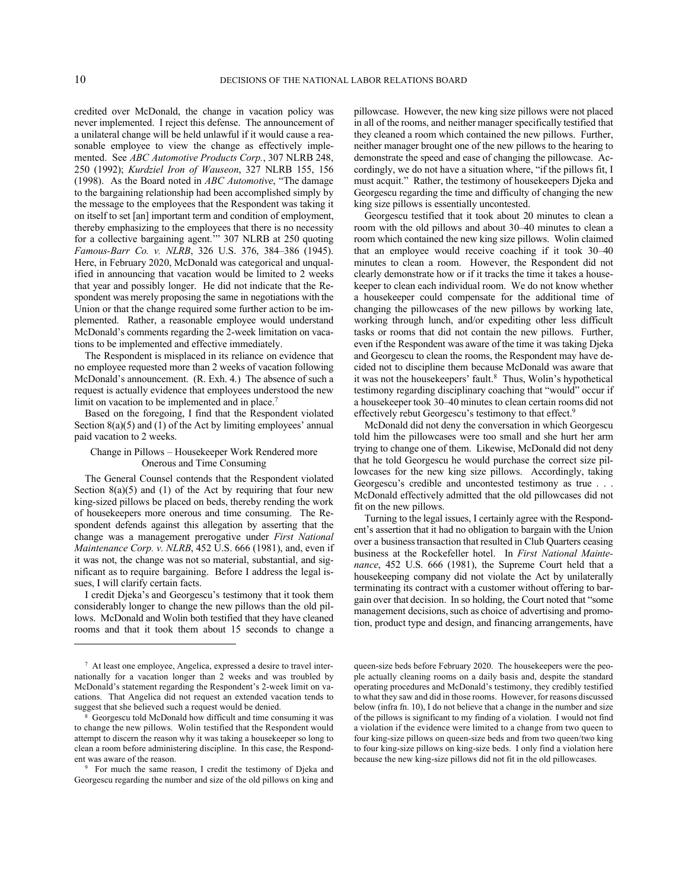credited over McDonald, the change in vacation policy was never implemented. I reject this defense. The announcement of a unilateral change will be held unlawful if it would cause a reasonable employee to view the change as effectively implemented. See *ABC Automotive Products Corp.*, 307 NLRB 248, 250 (1992); *Kurdziel Iron of Wauseon*, 327 NLRB 155, 156 (1998). As the Board noted in *ABC Automotive*, "The damage to the bargaining relationship had been accomplished simply by the message to the employees that the Respondent was taking it on itself to set [an] important term and condition of employment, thereby emphasizing to the employees that there is no necessity for a collective bargaining agent.'" 307 NLRB at 250 quoting *Famous-Barr Co. v. NLRB*, 326 U.S. 376, 384–386 (1945). Here, in February 2020, McDonald was categorical and unqualified in announcing that vacation would be limited to 2 weeks that year and possibly longer. He did not indicate that the Respondent was merely proposing the same in negotiations with the Union or that the change required some further action to be implemented. Rather, a reasonable employee would understand McDonald's comments regarding the 2-week limitation on vacations to be implemented and effective immediately.

The Respondent is misplaced in its reliance on evidence that no employee requested more than 2 weeks of vacation following McDonald's announcement. (R. Exh. 4.) The absence of such a request is actually evidence that employees understood the new limit on vacation to be implemented and in place.<sup>7</sup>

Based on the foregoing, I find that the Respondent violated Section  $8(a)(5)$  and  $(1)$  of the Act by limiting employees' annual paid vacation to 2 weeks.

# Change in Pillows – Housekeeper Work Rendered more Onerous and Time Consuming

The General Counsel contends that the Respondent violated Section  $8(a)(5)$  and  $(1)$  of the Act by requiring that four new king-sized pillows be placed on beds, thereby rending the work of housekeepers more onerous and time consuming. The Respondent defends against this allegation by asserting that the change was a management prerogative under *First National Maintenance Corp. v. NLRB*, 452 U.S. 666 (1981), and, even if it was not, the change was not so material, substantial, and significant as to require bargaining. Before I address the legal issues, I will clarify certain facts.

I credit Djeka's and Georgescu's testimony that it took them considerably longer to change the new pillows than the old pillows. McDonald and Wolin both testified that they have cleaned rooms and that it took them about 15 seconds to change a

pillowcase. However, the new king size pillows were not placed in all of the rooms, and neither manager specifically testified that they cleaned a room which contained the new pillows. Further, neither manager brought one of the new pillows to the hearing to demonstrate the speed and ease of changing the pillowcase. Accordingly, we do not have a situation where, "if the pillows fit, I must acquit." Rather, the testimony of housekeepers Djeka and Georgescu regarding the time and difficulty of changing the new king size pillows is essentially uncontested.

Georgescu testified that it took about 20 minutes to clean a room with the old pillows and about 30–40 minutes to clean a room which contained the new king size pillows. Wolin claimed that an employee would receive coaching if it took 30–40 minutes to clean a room. However, the Respondent did not clearly demonstrate how or if it tracks the time it takes a housekeeper to clean each individual room. We do not know whether a housekeeper could compensate for the additional time of changing the pillowcases of the new pillows by working late, working through lunch, and/or expediting other less difficult tasks or rooms that did not contain the new pillows. Further, even if the Respondent was aware of the time it was taking Djeka and Georgescu to clean the rooms, the Respondent may have decided not to discipline them because McDonald was aware that it was not the housekeepers' fault.<sup>8</sup> Thus, Wolin's hypothetical testimony regarding disciplinary coaching that "would" occur if a housekeeper took 30–40 minutes to clean certain rooms did not effectively rebut Georgescu's testimony to that effect.<sup>9</sup>

McDonald did not deny the conversation in which Georgescu told him the pillowcases were too small and she hurt her arm trying to change one of them. Likewise, McDonald did not deny that he told Georgescu he would purchase the correct size pillowcases for the new king size pillows. Accordingly, taking Georgescu's credible and uncontested testimony as true . . . McDonald effectively admitted that the old pillowcases did not fit on the new pillows.

Turning to the legal issues, I certainly agree with the Respondent's assertion that it had no obligation to bargain with the Union over a business transaction that resulted in Club Quarters ceasing business at the Rockefeller hotel. In *First National Maintenance*, 452 U.S. 666 (1981), the Supreme Court held that a housekeeping company did not violate the Act by unilaterally terminating its contract with a customer without offering to bargain over that decision. In so holding, the Court noted that "some management decisions, such as choice of advertising and promotion, product type and design, and financing arrangements, have

<sup>7</sup> At least one employee, Angelica, expressed a desire to travel internationally for a vacation longer than 2 weeks and was troubled by McDonald's statement regarding the Respondent's 2-week limit on vacations. That Angelica did not request an extended vacation tends to suggest that she believed such a request would be denied.

<sup>8</sup> Georgescu told McDonald how difficult and time consuming it was to change the new pillows. Wolin testified that the Respondent would attempt to discern the reason why it was taking a housekeeper so long to clean a room before administering discipline. In this case, the Respondent was aware of the reason.

<sup>9</sup> For much the same reason, I credit the testimony of Djeka and Georgescu regarding the number and size of the old pillows on king and

queen-size beds before February 2020. The housekeepers were the people actually cleaning rooms on a daily basis and, despite the standard operating procedures and McDonald's testimony, they credibly testified to what they saw and did in those rooms. However, for reasons discussed below (infra fn. 10), I do not believe that a change in the number and size of the pillows is significant to my finding of a violation. I would not find a violation if the evidence were limited to a change from two queen to four king-size pillows on queen-size beds and from two queen/two king to four king-size pillows on king-size beds. I only find a violation here because the new king-size pillows did not fit in the old pillowcases.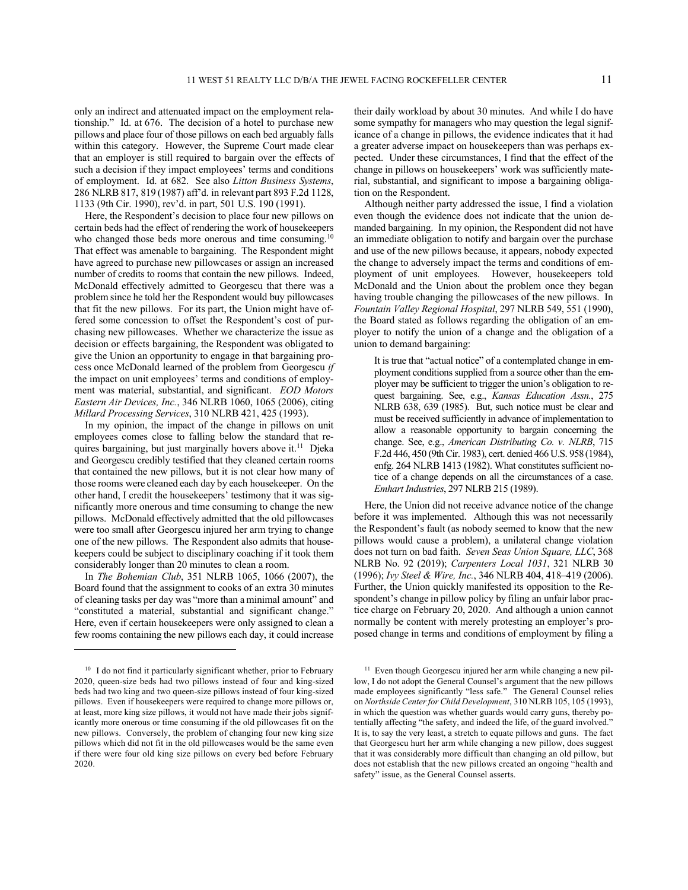only an indirect and attenuated impact on the employment relationship." Id. at 676. The decision of a hotel to purchase new pillows and place four of those pillows on each bed arguably falls within this category. However, the Supreme Court made clear that an employer is still required to bargain over the effects of such a decision if they impact employees' terms and conditions of employment. Id. at 682. See also *Litton Business Systems*, 286 NLRB 817, 819 (1987) aff'd. in relevant part 893 F.2d 1128, 1133 (9th Cir. 1990), rev'd. in part, 501 U.S. 190 (1991).

Here, the Respondent's decision to place four new pillows on certain beds had the effect of rendering the work of housekeepers who changed those beds more onerous and time consuming.<sup>10</sup> That effect was amenable to bargaining. The Respondent might have agreed to purchase new pillowcases or assign an increased number of credits to rooms that contain the new pillows. Indeed, McDonald effectively admitted to Georgescu that there was a problem since he told her the Respondent would buy pillowcases that fit the new pillows. For its part, the Union might have offered some concession to offset the Respondent's cost of purchasing new pillowcases. Whether we characterize the issue as decision or effects bargaining, the Respondent was obligated to give the Union an opportunity to engage in that bargaining process once McDonald learned of the problem from Georgescu *if* the impact on unit employees' terms and conditions of employment was material, substantial, and significant. *EOD Motors Eastern Air Devices, Inc.*, 346 NLRB 1060, 1065 (2006), citing *Millard Processing Services*, 310 NLRB 421, 425 (1993).

In my opinion, the impact of the change in pillows on unit employees comes close to falling below the standard that requires bargaining, but just marginally hovers above it.<sup>11</sup> Djeka and Georgescu credibly testified that they cleaned certain rooms that contained the new pillows, but it is not clear how many of those rooms were cleaned each day by each housekeeper. On the other hand, I credit the housekeepers' testimony that it was significantly more onerous and time consuming to change the new pillows. McDonald effectively admitted that the old pillowcases were too small after Georgescu injured her arm trying to change one of the new pillows. The Respondent also admits that housekeepers could be subject to disciplinary coaching if it took them considerably longer than 20 minutes to clean a room.

In *The Bohemian Club*, 351 NLRB 1065, 1066 (2007), the Board found that the assignment to cooks of an extra 30 minutes of cleaning tasks per day was "more than a minimal amount" and "constituted a material, substantial and significant change." Here, even if certain housekeepers were only assigned to clean a few rooms containing the new pillows each day, it could increase their daily workload by about 30 minutes. And while I do have some sympathy for managers who may question the legal significance of a change in pillows, the evidence indicates that it had a greater adverse impact on housekeepers than was perhaps expected. Under these circumstances, I find that the effect of the change in pillows on housekeepers' work was sufficiently material, substantial, and significant to impose a bargaining obligation on the Respondent.

Although neither party addressed the issue, I find a violation even though the evidence does not indicate that the union demanded bargaining. In my opinion, the Respondent did not have an immediate obligation to notify and bargain over the purchase and use of the new pillows because, it appears, nobody expected the change to adversely impact the terms and conditions of employment of unit employees. However, housekeepers told McDonald and the Union about the problem once they began having trouble changing the pillowcases of the new pillows. In *Fountain Valley Regional Hospital*, 297 NLRB 549, 551 (1990), the Board stated as follows regarding the obligation of an employer to notify the union of a change and the obligation of a union to demand bargaining:

It is true that "actual notice" of a contemplated change in employment conditions supplied from a source other than the employer may be sufficient to trigger the union's obligation to request bargaining. See, e.g., *Kansas Education Assn.*, 275 NLRB 638, 639 (1985). But, such notice must be clear and must be received sufficiently in advance of implementation to allow a reasonable opportunity to bargain concerning the change. See, e.g., *American Distributing Co. v. NLRB*, 715 F.2d 446, 450 (9th Cir. 1983), cert. denied 466 U.S. 958 (1984), enfg. 264 NLRB 1413 (1982). What constitutes sufficient notice of a change depends on all the circumstances of a case. *Emhart Industries*, 297 NLRB 215 (1989).

Here, the Union did not receive advance notice of the change before it was implemented. Although this was not necessarily the Respondent's fault (as nobody seemed to know that the new pillows would cause a problem), a unilateral change violation does not turn on bad faith. *Seven Seas Union Square, LLC*, 368 NLRB No. 92 (2019); *Carpenters Local 1031*, 321 NLRB 30 (1996); *Ivy Steel & Wire, Inc.*, 346 NLRB 404, 418–419 (2006). Further, the Union quickly manifested its opposition to the Respondent's change in pillow policy by filing an unfair labor practice charge on February 20, 2020. And although a union cannot normally be content with merely protesting an employer's proposed change in terms and conditions of employment by filing a

<sup>&</sup>lt;sup>10</sup> I do not find it particularly significant whether, prior to February 2020, queen-size beds had two pillows instead of four and king-sized beds had two king and two queen-size pillows instead of four king-sized pillows. Even if housekeepers were required to change more pillows or, at least, more king size pillows, it would not have made their jobs significantly more onerous or time consuming if the old pillowcases fit on the new pillows. Conversely, the problem of changing four new king size pillows which did not fit in the old pillowcases would be the same even if there were four old king size pillows on every bed before February 2020.

<sup>&</sup>lt;sup>11</sup> Even though Georgescu injured her arm while changing a new pillow, I do not adopt the General Counsel's argument that the new pillows made employees significantly "less safe." The General Counsel relies on *Northside Center for Child Development*, 310 NLRB 105, 105 (1993), in which the question was whether guards would carry guns, thereby potentially affecting "the safety, and indeed the life, of the guard involved." It is, to say the very least, a stretch to equate pillows and guns. The fact that Georgescu hurt her arm while changing a new pillow, does suggest that it was considerably more difficult than changing an old pillow, but does not establish that the new pillows created an ongoing "health and safety" issue, as the General Counsel asserts.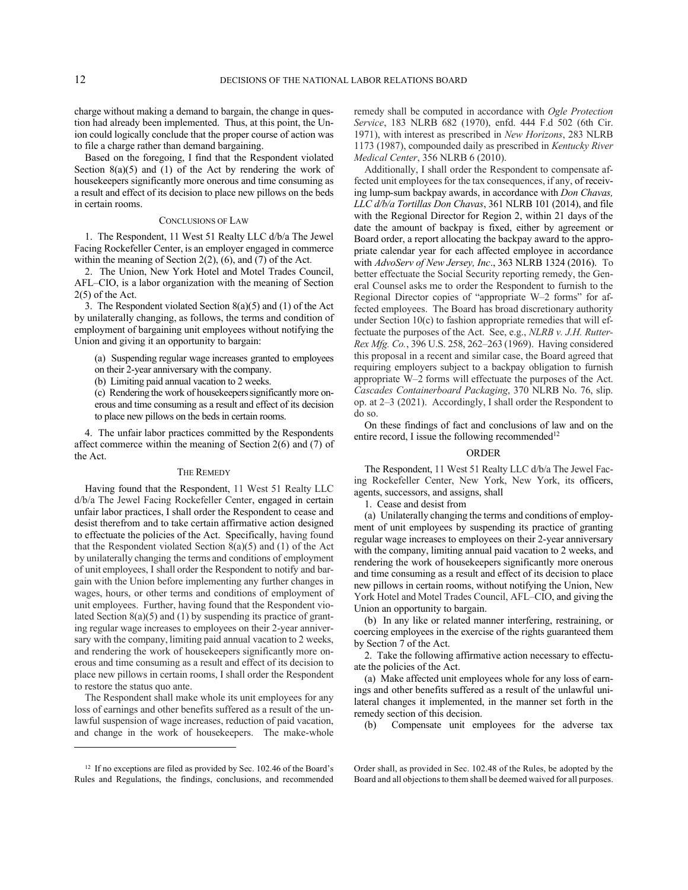charge without making a demand to bargain, the change in question had already been implemented. Thus, at this point, the Union could logically conclude that the proper course of action was to file a charge rather than demand bargaining.

Based on the foregoing, I find that the Respondent violated Section  $8(a)(5)$  and (1) of the Act by rendering the work of housekeepers significantly more onerous and time consuming as a result and effect of its decision to place new pillows on the beds in certain rooms.

### CONCLUSIONS OF LAW

1. The Respondent, 11 West 51 Realty LLC d/b/a The Jewel Facing Rockefeller Center, is an employer engaged in commerce within the meaning of Section 2(2), (6), and (7) of the Act.

2. The Union, New York Hotel and Motel Trades Council, AFL–CIO, is a labor organization with the meaning of Section 2(5) of the Act.

3. The Respondent violated Section 8(a)(5) and (1) of the Act by unilaterally changing, as follows, the terms and condition of employment of bargaining unit employees without notifying the Union and giving it an opportunity to bargain:

(a) Suspending regular wage increases granted to employees

on their 2-year anniversary with the company.

(b) Limiting paid annual vacation to 2 weeks.

(c) Rendering the work of housekeepers significantly more onerous and time consuming as a result and effect of its decision to place new pillows on the beds in certain rooms.

4. The unfair labor practices committed by the Respondents affect commerce within the meaning of Section 2(6) and (7) of the Act.

#### THE REMEDY

Having found that the Respondent, 11 West 51 Realty LLC d/b/a The Jewel Facing Rockefeller Center, engaged in certain unfair labor practices, I shall order the Respondent to cease and desist therefrom and to take certain affirmative action designed to effectuate the policies of the Act. Specifically, having found that the Respondent violated Section  $8(a)(5)$  and  $(1)$  of the Act by unilaterally changing the terms and conditions of employment of unit employees, I shall order the Respondent to notify and bargain with the Union before implementing any further changes in wages, hours, or other terms and conditions of employment of unit employees. Further, having found that the Respondent violated Section 8(a)(5) and (1) by suspending its practice of granting regular wage increases to employees on their 2-year anniversary with the company, limiting paid annual vacation to 2 weeks, and rendering the work of housekeepers significantly more onerous and time consuming as a result and effect of its decision to place new pillows in certain rooms, I shall order the Respondent to restore the status quo ante.

The Respondent shall make whole its unit employees for any loss of earnings and other benefits suffered as a result of the unlawful suspension of wage increases, reduction of paid vacation, and change in the work of housekeepers. The make-whole remedy shall be computed in accordance with *Ogle Protection Service*, 183 NLRB 682 (1970), enfd. 444 F.d 502 (6th Cir. 1971), with interest as prescribed in *New Horizons*, 283 NLRB 1173 (1987), compounded daily as prescribed in *Kentucky River Medical Center*, 356 NLRB 6 (2010).

Additionally, I shall order the Respondent to compensate affected unit employees for the tax consequences, if any, of receiving lump-sum backpay awards, in accordance with *Don Chavas, LLC d/b/a Tortillas Don Chavas*, 361 NLRB 101 (2014), and file with the Regional Director for Region 2, within 21 days of the date the amount of backpay is fixed, either by agreement or Board order, a report allocating the backpay award to the appropriate calendar year for each affected employee in accordance with *AdvoServ of New Jersey, Inc*., 363 NLRB 1324 (2016). To better effectuate the Social Security reporting remedy, the General Counsel asks me to order the Respondent to furnish to the Regional Director copies of "appropriate W–2 forms" for affected employees. The Board has broad discretionary authority under Section 10(c) to fashion appropriate remedies that will effectuate the purposes of the Act. See, e.g., *NLRB v. J.H. Rutter-Rex Mfg. Co.*, 396 U.S. 258, 262–263 (1969). Having considered this proposal in a recent and similar case, the Board agreed that requiring employers subject to a backpay obligation to furnish appropriate W–2 forms will effectuate the purposes of the Act. *Cascades Containerboard Packaging*, 370 NLRB No. 76, slip. op. at 2–3 (2021). Accordingly, I shall order the Respondent to do so.

On these findings of fact and conclusions of law and on the entire record, I issue the following recommended<sup>12</sup>

### ORDER

The Respondent, 11 West 51 Realty LLC d/b/a The Jewel Facing Rockefeller Center, New York, New York, its officers, agents, successors, and assigns, shall

1. Cease and desist from

(a) Unilaterally changing the terms and conditions of employment of unit employees by suspending its practice of granting regular wage increases to employees on their 2-year anniversary with the company, limiting annual paid vacation to 2 weeks, and rendering the work of housekeepers significantly more onerous and time consuming as a result and effect of its decision to place new pillows in certain rooms, without notifying the Union, New York Hotel and Motel Trades Council, AFL–CIO, and giving the Union an opportunity to bargain.

(b) In any like or related manner interfering, restraining, or coercing employees in the exercise of the rights guaranteed them by Section 7 of the Act.

2. Take the following affirmative action necessary to effectuate the policies of the Act.

(a) Make affected unit employees whole for any loss of earnings and other benefits suffered as a result of the unlawful unilateral changes it implemented, in the manner set forth in the remedy section of this decision.

(b) Compensate unit employees for the adverse tax

<sup>&</sup>lt;sup>12</sup> If no exceptions are filed as provided by Sec. 102.46 of the Board's Rules and Regulations, the findings, conclusions, and recommended

Order shall, as provided in Sec. 102.48 of the Rules, be adopted by the Board and all objections to them shall be deemed waived for all purposes.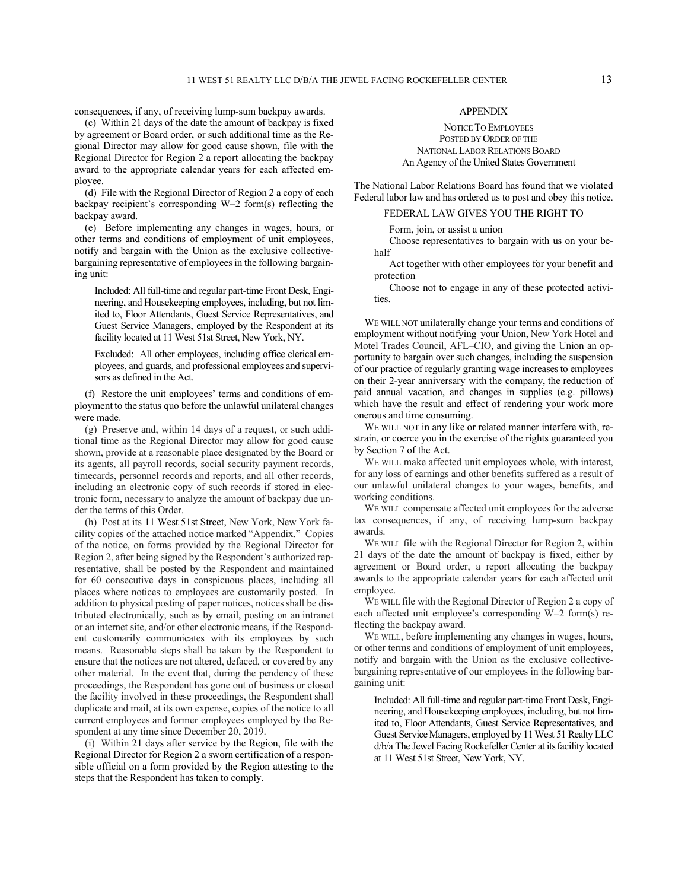consequences, if any, of receiving lump-sum backpay awards.

(c) Within 21 days of the date the amount of backpay is fixed by agreement or Board order, or such additional time as the Regional Director may allow for good cause shown, file with the Regional Director for Region 2 a report allocating the backpay award to the appropriate calendar years for each affected employee.

(d) File with the Regional Director of Region 2 a copy of each backpay recipient's corresponding W–2 form(s) reflecting the backpay award.

(e) Before implementing any changes in wages, hours, or other terms and conditions of employment of unit employees, notify and bargain with the Union as the exclusive collectivebargaining representative of employees in the following bargaining unit:

Included: All full-time and regular part-time Front Desk, Engineering, and Housekeeping employees, including, but not limited to, Floor Attendants, Guest Service Representatives, and Guest Service Managers, employed by the Respondent at its facility located at 11 West 51st Street, New York, NY.

Excluded: All other employees, including office clerical employees, and guards, and professional employees and supervisors as defined in the Act.

(f) Restore the unit employees' terms and conditions of employment to the status quo before the unlawful unilateral changes were made.

(g) Preserve and, within 14 days of a request, or such additional time as the Regional Director may allow for good cause shown, provide at a reasonable place designated by the Board or its agents, all payroll records, social security payment records, timecards, personnel records and reports, and all other records, including an electronic copy of such records if stored in electronic form, necessary to analyze the amount of backpay due under the terms of this Order.

(h) Post at its 11 West 51st Street, New York, New York facility copies of the attached notice marked "Appendix." Copies of the notice, on forms provided by the Regional Director for Region 2, after being signed by the Respondent's authorized representative, shall be posted by the Respondent and maintained for 60 consecutive days in conspicuous places, including all places where notices to employees are customarily posted. In addition to physical posting of paper notices, notices shall be distributed electronically, such as by email, posting on an intranet or an internet site, and/or other electronic means, if the Respondent customarily communicates with its employees by such means. Reasonable steps shall be taken by the Respondent to ensure that the notices are not altered, defaced, or covered by any other material. In the event that, during the pendency of these proceedings, the Respondent has gone out of business or closed the facility involved in these proceedings, the Respondent shall duplicate and mail, at its own expense, copies of the notice to all current employees and former employees employed by the Respondent at any time since December 20, 2019.

(i) Within 21 days after service by the Region, file with the Regional Director for Region 2 a sworn certification of a responsible official on a form provided by the Region attesting to the steps that the Respondent has taken to comply.

# APPENDIX

NOTICE TO EMPLOYEES POSTED BY ORDER OF THE NATIONAL LABOR RELATIONS BOARD An Agency of the United States Government

The National Labor Relations Board has found that we violated Federal labor law and has ordered us to post and obey this notice.

# FEDERAL LAW GIVES YOU THE RIGHT TO

Form, join, or assist a union

Choose representatives to bargain with us on your behalf

Act together with other employees for your benefit and protection

Choose not to engage in any of these protected activities.

WE WILL NOT unilaterally change your terms and conditions of employment without notifying your Union, New York Hotel and Motel Trades Council, AFL–CIO, and giving the Union an opportunity to bargain over such changes, including the suspension of our practice of regularly granting wage increases to employees on their 2-year anniversary with the company, the reduction of paid annual vacation, and changes in supplies (e.g. pillows) which have the result and effect of rendering your work more onerous and time consuming.

WE WILL NOT in any like or related manner interfere with, restrain, or coerce you in the exercise of the rights guaranteed you by Section 7 of the Act.

WE WILL make affected unit employees whole, with interest, for any loss of earnings and other benefits suffered as a result of our unlawful unilateral changes to your wages, benefits, and working conditions.

WE WILL compensate affected unit employees for the adverse tax consequences, if any, of receiving lump-sum backpay awards.

WE WILL file with the Regional Director for Region 2, within 21 days of the date the amount of backpay is fixed, either by agreement or Board order, a report allocating the backpay awards to the appropriate calendar years for each affected unit employee.

WE WILL file with the Regional Director of Region 2 a copy of each affected unit employee's corresponding W–2 form(s) reflecting the backpay award.

WE WILL, before implementing any changes in wages, hours, or other terms and conditions of employment of unit employees, notify and bargain with the Union as the exclusive collectivebargaining representative of our employees in the following bargaining unit:

Included: All full-time and regular part-time Front Desk, Engineering, and Housekeeping employees, including, but not limited to, Floor Attendants, Guest Service Representatives, and Guest Service Managers, employed by 11 West 51 Realty LLC d/b/a The Jewel Facing Rockefeller Center at its facility located at 11 West 51st Street, New York, NY.